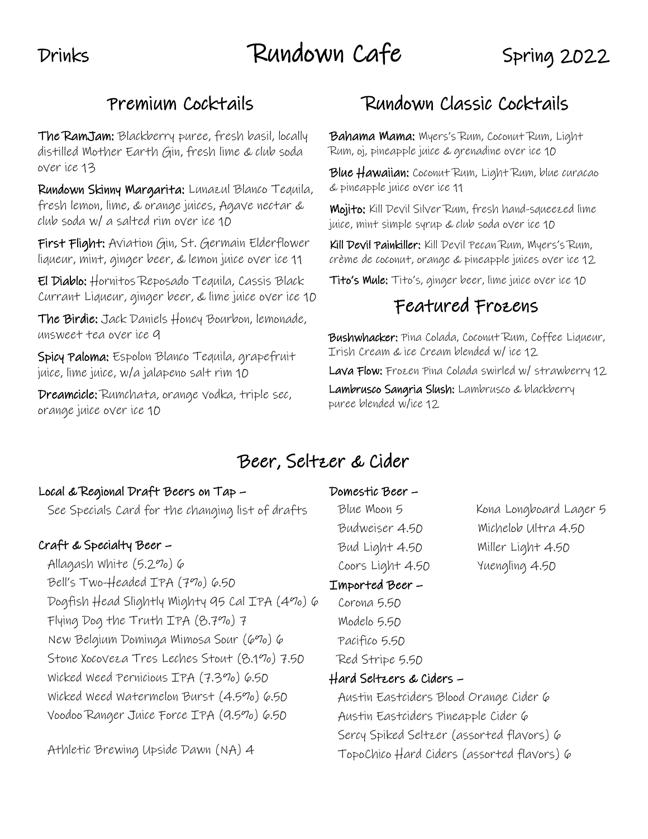# Drinks Rundown Cafe Spring 2022

## Premium Cocktails

The RamJam: Blackberry puree, fresh basil, locally distilled Mother Earth Gin, fresh lime & club soda over ice 13

Rundown Skinny Margarita: Lunazul Blanco Tequila, fresh lemon, lime, & orange juices, Agave nectar & club soda w/ a salted rim over ice 10

First Flight: Aviation Gin, St. Germain Elderflower liqueur, mint, ginger beer, & lemon juice over ice 11

El Diablo: Hornitos Reposado Tequila, Cassis Black Currant Liqueur, ginger beer, & lime juice over ice 10

The Birdie: Jack Daniels Honey Bourbon, lemonade, unsweet tea over ice 9

Spicy Paloma: Espolon Blanco Tequila, grapefruit juice, lime juice, w/a jalapeno salt rim 10

Dreamcicle: Rumchata, orange vodka, triple sec, orange juice over ice 10

## Rundown Classic Cocktails

Bahama Mama: Myers's Rum, Coconut Rum, Light Rum, oj, pineapple juice & grenadine over ice 10

Blue Hawaiian: Coconut Rum, Light Rum, blue curacao & pineapple juice over ice 11

Mojito: Kill Devil Silver Rum, fresh hand-squeezed lime juice, mint simple syrup & club soda over ice 10

Kill Devil Painkiller: Kill Devil Pecan Rum, Myers's Rum, crème de coconut, orange & pineapple juices over ice 12

Tito's Mule: Tito's, ginger beer, lime juice over ice 10

## Featured Frozens

Bushwhacker: Pina Colada, Coconut Rum, Coffee Liqueur, Irish Cream & ice Cream blended w/ ice 12 Lava Flow: Frozen Pina Colada swirled w/ strawberry 12 Lambrusco Sangria Slush: Lambrusco & blackberry puree blended w/ice 12

## Beer, Seltzer & Cider

#### Local & Regional Draft Beers on Tap –

See Specials Card for the changing list of drafts

### Craft & Specialty Beer –

Allagash White (5.2%) 6 Bell's Two-Headed IPA (7%) 6.50 Dogfish Head Slightly Mighty 95 Cal IPA (4%) 6 Flying Dog the Truth IPA (8.7%) 7 New Belgium Dominga Mimosa Sour (6%) 6 Stone Xocoveza Tres Leches Stout (8.1%) 7.50 Wicked Weed Pernicious IPA (7.3%) 6.50 Wicked Weed Watermelon Burst (4.5%) 6.50 Voodoo Ranger Juice Force IPA (9.5%) 6.50

Athletic Brewing Upside Dawn (NA) 4

Blue Moon 5 Kona Longboard Lager 5 Bud Light 4.50 Miller Light 4.50 Coors Light 4.50 Yuengling 4.50

Domestic Beer –

## Imported Beer –

Corona 5.50 Modelo 5.50 Pacifico 5.50 Red Stripe 5.50

### Hard Seltzers & Ciders –

Austin Eastciders Blood Orange Cider 6 Austin Eastciders Pineapple Cider 6 Sercy Spiked Seltzer (assorted flavors) 6 TopoChico Hard Ciders (assorted flavors) 6

Budweiser 4.50 Michelob Ultra 4.50